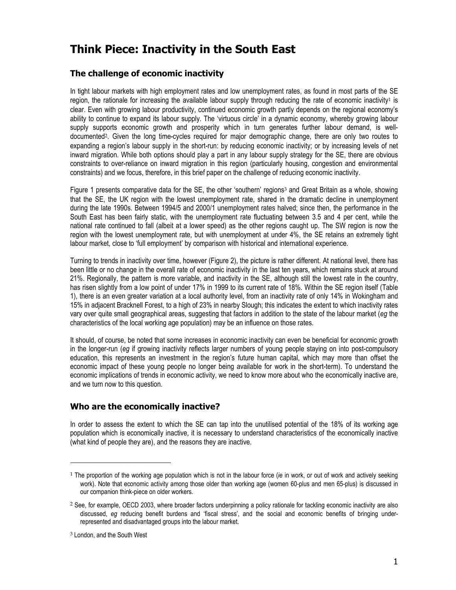# **Think Piece: Inactivity in the South East**

## **The challenge of economic inactivity**

In tight labour markets with high employment rates and low unemployment rates, as found in most parts of the SE region, the rationale for increasing the available labour supply through reducing the rate of economic inactivity<sup>1</sup> is clear. Even with growing labour productivity, continued economic growth partly depends on the regional economy's ability to continue to expand its labour supply. The 'virtuous circle' in a dynamic economy, whereby growing labour supply supports economic growth and prosperity which in turn generates further labour demand, is welldocumented2. Given the long time-cycles required for major demographic change, there are only two routes to expanding a region's labour supply in the short-run: by reducing economic inactivity; or by increasing levels of net inward migration. While both options should play a part in any labour supply strategy for the SE, there are obvious constraints to over-reliance on inward migration in this region (particularly housing, congestion and environmental constraints) and we focus, therefore, in this brief paper on the challenge of reducing economic inactivity.

Figure 1 presents comparative data for the SE, the other 'southern' regions<sup>3</sup> and Great Britain as a whole, showing that the SE, the UK region with the lowest unemployment rate, shared in the dramatic decline in unemployment during the late 1990s. Between 1994/5 and 2000/1 unemployment rates halved; since then, the performance in the South East has been fairly static, with the unemployment rate fluctuating between 3.5 and 4 per cent, while the national rate continued to fall (albeit at a lower speed) as the other regions caught up. The SW region is now the region with the lowest unemployment rate, but with unemployment at under 4%, the SE retains an extremely tight labour market, close to 'full employment' by comparison with historical and international experience.

Turning to trends in inactivity over time, however (Figure 2), the picture is rather different. At national level, there has been little or no change in the overall rate of economic inactivity in the last ten years, which remains stuck at around 21%. Regionally, the pattern is more variable, and inactivity in the SE, although still the lowest rate in the country, has risen slightly from a low point of under 17% in 1999 to its current rate of 18%. Within the SE region itself (Table 1), there is an even greater variation at a local authority level, from an inactivity rate of only 14% in Wokingham and 15% in adjacent Bracknell Forest, to a high of 23% in nearby Slough; this indicates the extent to which inactivity rates vary over quite small geographical areas, suggesting that factors in addition to the state of the labour market (*eg* the characteristics of the local working age population) may be an influence on those rates.

It should, of course, be noted that some increases in economic inactivity can even be beneficial for economic growth in the longer-run (*eg* if growing inactivity reflects larger numbers of young people staying on into post-compulsory education, this represents an investment in the region's future human capital, which may more than offset the economic impact of these young people no longer being available for work in the short-term). To understand the economic implications of trends in economic activity, we need to know more about who the economically inactive are, and we turn now to this question.

## **Who are the economically inactive?**

In order to assess the extent to which the SE can tap into the unutilised potential of the 18% of its working age population which is economically inactive, it is necessary to understand characteristics of the economically inactive (what kind of people they are), and the reasons they are inactive.

l

<sup>1</sup> The proportion of the working age population which is not in the labour force (*ie* in work, or out of work and actively seeking work). Note that economic activity among those older than working age (women 60-plus and men 65-plus) is discussed in our companion think-piece on older workers.

<sup>2</sup> See, for example, OECD 2003, where broader factors underpinning a policy rationale for tackling economic inactivity are also discussed, *eg* reducing benefit burdens and 'fiscal stress', and the social and economic benefits of bringing underrepresented and disadvantaged groups into the labour market.

<sup>3</sup> London, and the South West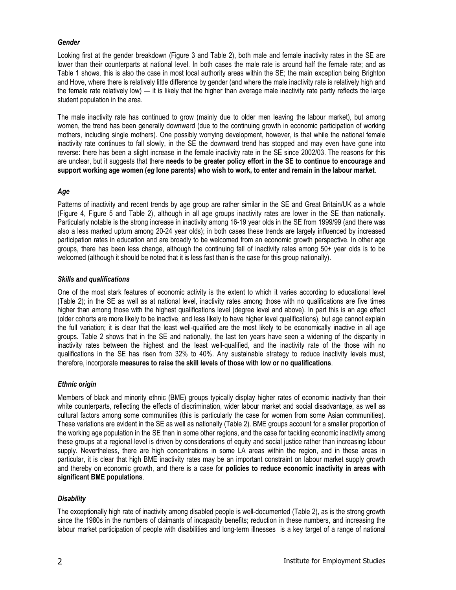### *Gender*

Looking first at the gender breakdown (Figure 3 and Table 2), both male and female inactivity rates in the SE are lower than their counterparts at national level. In both cases the male rate is around half the female rate; and as Table 1 shows, this is also the case in most local authority areas within the SE; the main exception being Brighton and Hove, where there is relatively little difference by gender (and where the male inactivity rate is relatively high and the female rate relatively low) — it is likely that the higher than average male inactivity rate partly reflects the large student population in the area.

The male inactivity rate has continued to grow (mainly due to older men leaving the labour market), but among women, the trend has been generally downward (due to the continuing growth in economic participation of working mothers, including single mothers). One possibly worrying development, however, is that while the national female inactivity rate continues to fall slowly, in the SE the downward trend has stopped and may even have gone into reverse: there has been a slight increase in the female inactivity rate in the SE since 2002/03. The reasons for this are unclear, but it suggests that there **needs to be greater policy effort in the SE to continue to encourage and support working age women (***eg* **lone parents) who wish to work, to enter and remain in the labour market**.

### *Age*

Patterns of inactivity and recent trends by age group are rather similar in the SE and Great Britain/UK as a whole (Figure 4, Figure 5 and Table 2), although in all age groups inactivity rates are lower in the SE than nationally. Particularly notable is the strong increase in inactivity among 16-19 year olds in the SE from 1999/99 (and there was also a less marked upturn among 20-24 year olds); in both cases these trends are largely influenced by increased participation rates in education and are broadly to be welcomed from an economic growth perspective. In other age groups, there has been less change, although the continuing fall of inactivity rates among 50+ year olds is to be welcomed (although it should be noted that it is less fast than is the case for this group nationally).

#### *Skills and qualifications*

One of the most stark features of economic activity is the extent to which it varies according to educational level (Table 2); in the SE as well as at national level, inactivity rates among those with no qualifications are five times higher than among those with the highest qualifications level (degree level and above). In part this is an age effect (older cohorts are more likely to be inactive, and less likely to have higher level qualifications), but age cannot explain the full variation; it is clear that the least well-qualified are the most likely to be economically inactive in all age groups. Table 2 shows that in the SE and nationally, the last ten years have seen a widening of the disparity in inactivity rates between the highest and the least well-qualified, and the inactivity rate of the those with no qualifications in the SE has risen from 32% to 40%. Any sustainable strategy to reduce inactivity levels must, therefore, incorporate **measures to raise the skill levels of those with low or no qualifications**.

#### *Ethnic origin*

Members of black and minority ethnic (BME) groups typically display higher rates of economic inactivity than their white counterparts, reflecting the effects of discrimination, wider labour market and social disadvantage, as well as cultural factors among some communities (this is particularly the case for women from some Asian communities). These variations are evident in the SE as well as nationally (Table 2). BME groups account for a smaller proportion of the working age population in the SE than in some other regions, and the case for tackling economic inactivity among these groups at a regional level is driven by considerations of equity and social justice rather than increasing labour supply. Nevertheless, there are high concentrations in some LA areas within the region, and in these areas in particular, it is clear that high BME inactivity rates may be an important constraint on labour market supply growth and thereby on economic growth, and there is a case for **policies to reduce economic inactivity in areas with significant BME populations**.

## *Disability*

The exceptionally high rate of inactivity among disabled people is well-documented (Table 2), as is the strong growth since the 1980s in the numbers of claimants of incapacity benefits; reduction in these numbers, and increasing the labour market participation of people with disabilities and long-term illnesses is a key target of a range of national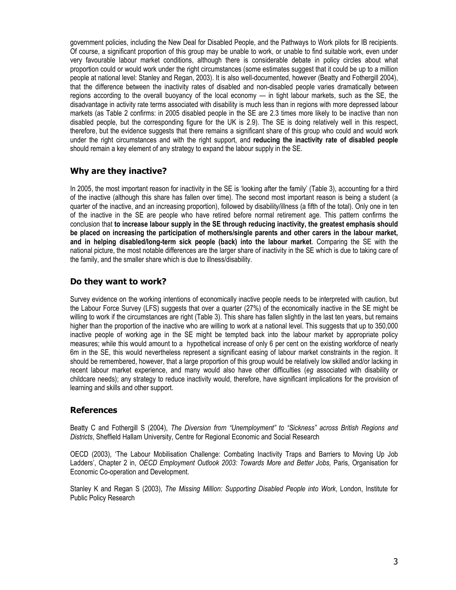government policies, including the New Deal for Disabled People, and the Pathways to Work pilots for IB recipients. Of course, a significant proportion of this group may be unable to work, or unable to find suitable work, even under very favourable labour market conditions, although there is considerable debate in policy circles about what proportion could or would work under the right circumstances (some estimates suggest that it could be up to a million people at national level: Stanley and Regan, 2003). It is also well-documented, however (Beatty and Fothergill 2004), that the difference between the inactivity rates of disabled and non-disabled people varies dramatically between regions according to the overall buoyancy of the local economy — in tight labour markets, such as the SE, the disadvantage in activity rate terms associated with disability is much less than in regions with more depressed labour markets (as Table 2 confirms: in 2005 disabled people in the SE are 2.3 times more likely to be inactive than non disabled people, but the corresponding figure for the UK is 2.9). The SE is doing relatively well in this respect, therefore, but the evidence suggests that there remains a significant share of this group who could and would work under the right circumstances and with the right support, and **reducing the inactivity rate of disabled people** should remain a key element of any strategy to expand the labour supply in the SE.

# **Why are they inactive?**

In 2005, the most important reason for inactivity in the SE is 'looking after the family' (Table 3), accounting for a third of the inactive (although this share has fallen over time). The second most important reason is being a student (a quarter of the inactive, and an increasing proportion), followed by disability/illness (a fifth of the total). Only one in ten of the inactive in the SE are people who have retired before normal retirement age. This pattern confirms the conclusion that **to increase labour supply in the SE through reducing inactivity, the greatest emphasis should be placed on increasing the participation of mothers/single parents and other carers in the labour market, and in helping disabled/long-term sick people (back) into the labour market**. Comparing the SE with the national picture, the most notable differences are the larger share of inactivity in the SE which is due to taking care of the family, and the smaller share which is due to illness/disability.

## **Do they want to work?**

Survey evidence on the working intentions of economically inactive people needs to be interpreted with caution, but the Labour Force Survey (LFS) suggests that over a quarter (27%) of the economically inactive in the SE might be willing to work if the circumstances are right (Table 3). This share has fallen slightly in the last ten years, but remains higher than the proportion of the inactive who are willing to work at a national level. This suggests that up to 350,000 inactive people of working age in the SE might be tempted back into the labour market by appropriate policy measures; while this would amount to a hypothetical increase of only 6 per cent on the existing workforce of nearly 6m in the SE, this would nevertheless represent a significant easing of labour market constraints in the region. It should be remembered, however, that a large proportion of this group would be relatively low skilled and/or lacking in recent labour market experience, and many would also have other difficulties (*eg* associated with disability or childcare needs); any strategy to reduce inactivity would, therefore, have significant implications for the provision of learning and skills and other support.

## **References**

Beatty C and Fothergill S (2004), *The Diversion from "Unemployment" to "Sickness" across British Regions and Districts*, Sheffield Hallam University, Centre for Regional Economic and Social Research

OECD (2003), 'The Labour Mobilisation Challenge: Combating Inactivity Traps and Barriers to Moving Up Job Ladders', Chapter 2 in, *OECD Employment Outlook 2003: Towards More and Better Jobs,* Paris, Organisation for Economic Co-operation and Development.

Stanley K and Regan S (2003), *The Missing Million: Supporting Disabled People into Work*, London, Institute for Public Policy Research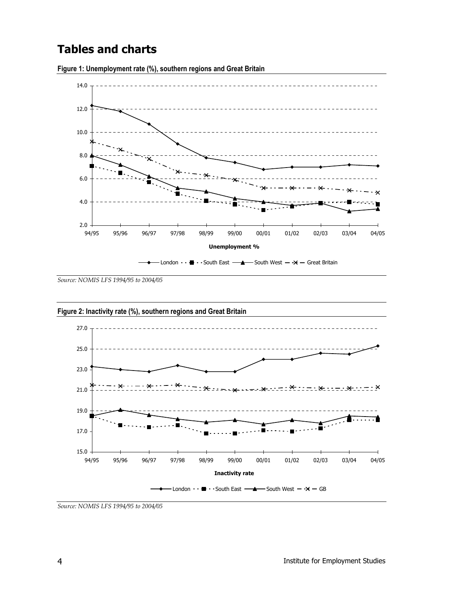# **Tables and charts**



**Figure 1: Unemployment rate (%), southern regions and Great Britain** 

*Source: NOMIS LFS 1994/95 to 2004/05* 



*Source: NOMIS LFS 1994/95 to 2004/05*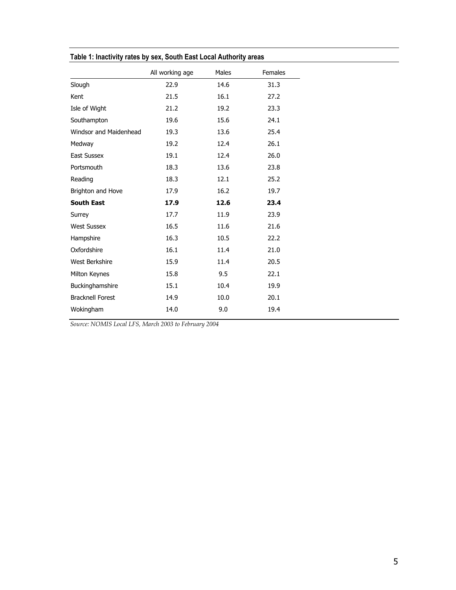|                         | All working age | Males | <b>Females</b> |  |
|-------------------------|-----------------|-------|----------------|--|
| Slough                  | 22.9            | 14.6  | 31.3           |  |
| Kent                    | 21.5            | 16.1  | 27.2           |  |
| Isle of Wight           | 21.2            | 19.2  | 23.3           |  |
| Southampton             | 19.6            | 15.6  | 24.1           |  |
| Windsor and Maidenhead  | 19.3            | 13.6  | 25.4           |  |
| Medway                  | 19.2            | 12.4  | 26.1           |  |
| East Sussex             | 19.1            | 12.4  | 26.0           |  |
| Portsmouth              | 18.3            | 13.6  | 23.8           |  |
| Reading                 | 18.3            | 12.1  | 25.2           |  |
| Brighton and Hove       | 17.9            | 16.2  | 19.7           |  |
| <b>South East</b>       | 17.9            | 12.6  | 23.4           |  |
| Surrey                  | 17.7            | 11.9  | 23.9           |  |
| <b>West Sussex</b>      | 16.5            | 11.6  | 21.6           |  |
| Hampshire               | 16.3            | 10.5  | 22.2           |  |
| Oxfordshire             | 16.1            | 11.4  | 21.0           |  |
| West Berkshire          | 15.9            | 11.4  | 20.5           |  |
| Milton Keynes           | 15.8            | 9.5   | 22.1           |  |
| Buckinghamshire         | 15.1            | 10.4  | 19.9           |  |
| <b>Bracknell Forest</b> | 14.9            | 10.0  | 20.1           |  |
| Wokingham               | 14.0            | 9.0   | 19.4           |  |
|                         |                 |       |                |  |

**Table 1: Inactivity rates by sex, South East Local Authority areas** 

*Source: NOMIS Local LFS, March 2003 to February 2004*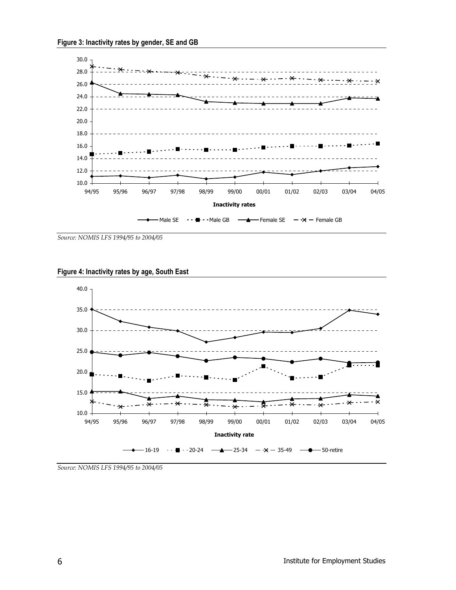

*Source: NOMIS LFS 1994/95 to 2004/05* 





*Source: NOMIS LFS 1994/95 to 2004/05*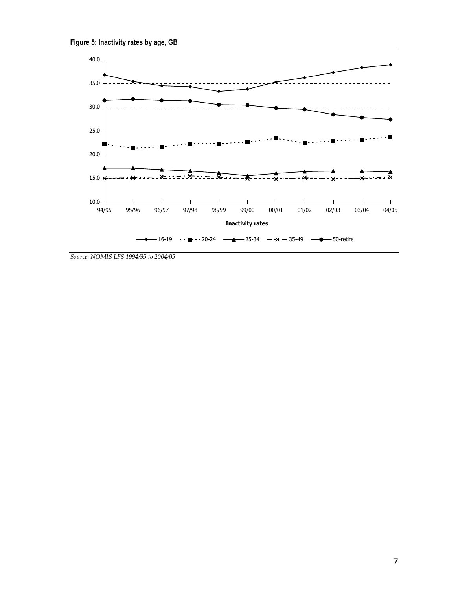

*Source: NOMIS LFS 1994/95 to 2004/05*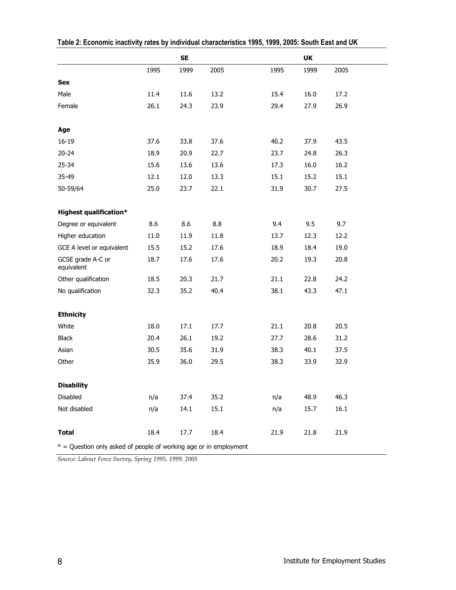|                                                                     |      | <b>SE</b> |      |      | UK   |      |
|---------------------------------------------------------------------|------|-----------|------|------|------|------|
|                                                                     | 1995 | 1999      | 2005 | 1995 | 1999 | 2005 |
| <b>Sex</b>                                                          |      |           |      |      |      |      |
| Male                                                                | 11.4 | 11.6      | 13.2 | 15.4 | 16.0 | 17.2 |
| Female                                                              | 26.1 | 24.3      | 23.9 | 29.4 | 27.9 | 26.9 |
|                                                                     |      |           |      |      |      |      |
| Age                                                                 |      |           |      |      |      |      |
| $16 - 19$                                                           | 37.6 | 33.8      | 37.6 | 40.2 | 37.9 | 43.5 |
| $20 - 24$                                                           | 18.9 | 20.9      | 22.7 | 23.7 | 24.8 | 26.3 |
| $25 - 34$                                                           | 15.6 | 13.6      | 13.6 | 17.3 | 16.0 | 16.2 |
| 35-49                                                               | 12.1 | 12.0      | 13.3 | 15.1 | 15.2 | 15.1 |
| 50-59/64                                                            | 25.0 | 23.7      | 22.1 | 31.9 | 30.7 | 27.5 |
|                                                                     |      |           |      |      |      |      |
| <b>Highest qualification*</b>                                       |      |           |      |      |      |      |
| Degree or equivalent                                                | 8.6  | 8.6       | 8.8  | 9.4  | 9.5  | 9.7  |
| Higher education                                                    | 11.0 | 11.9      | 11.8 | 13.7 | 12.3 | 12.2 |
| GCE A level or equivalent                                           | 15.5 | 15.2      | 17.6 | 18.9 | 18.4 | 19.0 |
| GCSE grade A-C or<br>equivalent                                     | 18.7 | 17.6      | 17.6 | 20.2 | 19.3 | 20.8 |
| Other qualification                                                 | 18.5 | 20.3      | 21.7 | 21.1 | 22.8 | 24.2 |
| No qualification                                                    | 32.3 | 35.2      | 40.4 | 38.1 | 43.3 | 47.1 |
|                                                                     |      |           |      |      |      |      |
| <b>Ethnicity</b>                                                    |      |           |      |      |      |      |
| White                                                               | 18.0 | 17.1      | 17.7 | 21.1 | 20.8 | 20.5 |
| <b>Black</b>                                                        | 20.4 | 26.1      | 19.2 | 27.7 | 28.6 | 31.2 |
| Asian                                                               | 30.5 | 35.6      | 31.9 | 38.3 | 40.1 | 37.5 |
| Other                                                               | 35.9 | 36.0      | 29.5 | 38.3 | 33.9 | 32.9 |
|                                                                     |      |           |      |      |      |      |
| <b>Disability</b>                                                   |      |           |      |      |      |      |
| Disabled                                                            | n/a  | 37.4      | 35.2 | n/a  | 48.9 | 46.3 |
| Not disabled                                                        | n/a  | 14.1      | 15.1 | n/a  | 15.7 | 16.1 |
|                                                                     |      |           |      |      |      |      |
| <b>Total</b>                                                        | 18.4 | 17.7      | 18.4 | 21.9 | 21.8 | 21.9 |
| $*$ = Question only asked of people of working age or in employment |      |           |      |      |      |      |

**Table 2: Economic inactivity rates by individual characteristics 1995, 1999, 2005: South East and UK** 

*Source: Labour Force Survey, Spring 1995, 1999, 2005*